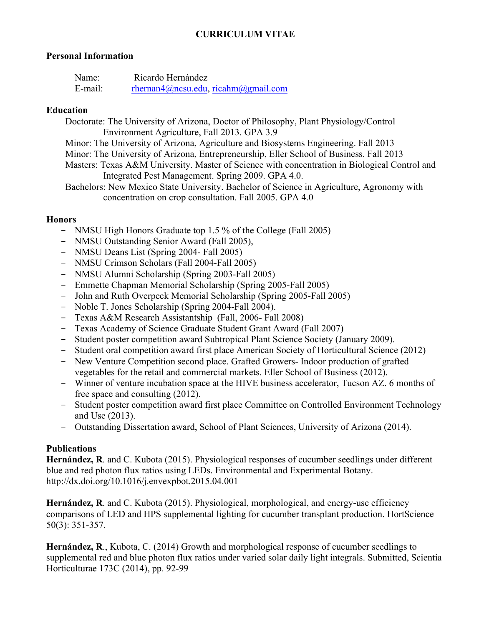## **CURRICULUM VITAE**

#### **Personal Information**

| Name:   | Ricardo Hernández                  |
|---------|------------------------------------|
| E-mail: | rhernan4@ncsu.edu.ricahm@gmail.com |

#### **Education**

Doctorate: The University of Arizona, Doctor of Philosophy, Plant Physiology/Control Environment Agriculture, Fall 2013. GPA 3.9

Minor: The University of Arizona, Agriculture and Biosystems Engineering. Fall 2013

Minor: The University of Arizona, Entrepreneurship, Eller School of Business. Fall 2013

 Masters: Texas A&M University. Master of Science with concentration in Biological Control and Integrated Pest Management. Spring 2009. GPA 4.0.

Bachelors: New Mexico State University. Bachelor of Science in Agriculture, Agronomy with concentration on crop consultation. Fall 2005. GPA 4.0

#### **Honors**

- NMSU High Honors Graduate top 1.5 % of the College (Fall 2005)
- NMSU Outstanding Senior Award (Fall 2005),
- NMSU Deans List (Spring 2004- Fall 2005)
- NMSU Crimson Scholars (Fall 2004-Fall 2005)
- NMSU Alumni Scholarship (Spring 2003-Fall 2005)
- Emmette Chapman Memorial Scholarship (Spring 2005-Fall 2005)
- John and Ruth Overpeck Memorial Scholarship (Spring 2005-Fall 2005)
- Noble T. Jones Scholarship (Spring 2004-Fall 2004).
- Texas A&M Research Assistantship (Fall, 2006- Fall 2008)
- Texas Academy of Science Graduate Student Grant Award (Fall 2007)
- Student poster competition award Subtropical Plant Science Society (January 2009).
- Student oral competition award first place American Society of Horticultural Science (2012)
- New Venture Competition second place. Grafted Growers- Indoor production of grafted vegetables for the retail and commercial markets. Eller School of Business (2012).
- Winner of venture incubation space at the HIVE business accelerator, Tucson AZ. 6 months of free space and consulting (2012).
- Student poster competition award first place Committee on Controlled Environment Technology and Use (2013).
- Outstanding Dissertation award, School of Plant Sciences, University of Arizona (2014).

## **Publications**

**Hernández, R**. and C. Kubota (2015). Physiological responses of cucumber seedlings under different blue and red photon flux ratios using LEDs. Environmental and Experimental Botany. http://dx.doi.org/10.1016/j.envexpbot.2015.04.001

**Hernández, R**. and C. Kubota (2015). Physiological, morphological, and energy-use efficiency comparisons of LED and HPS supplemental lighting for cucumber transplant production. HortScience 50(3): 351-357.

**Hernández, R**., Kubota, C. (2014) Growth and morphological response of cucumber seedlings to supplemental red and blue photon flux ratios under varied solar daily light integrals. Submitted, Scientia Horticulturae 173C (2014), pp. 92-99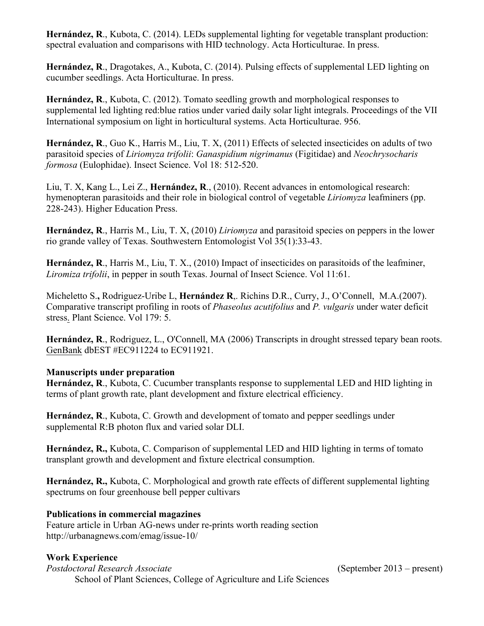**Hernández, R**., Kubota, C. (2014). LEDs supplemental lighting for vegetable transplant production: spectral evaluation and comparisons with HID technology. Acta Horticulturae. In press.

**Hernández, R**., Dragotakes, A., Kubota, C. (2014). Pulsing effects of supplemental LED lighting on cucumber seedlings. Acta Horticulturae. In press.

**Hernández, R**., Kubota, C. (2012). Tomato seedling growth and morphological responses to supplemental led lighting red:blue ratios under varied daily solar light integrals. Proceedings of the VII International symposium on light in horticultural systems. Acta Horticulturae. 956.

**Hernández, R**., Guo K., Harris M., Liu, T. X, (2011) Effects of selected insecticides on adults of two parasitoid species of *Liriomyza trifolii*: *Ganaspidium nigrimanus* (Figitidae) and *Neochrysocharis formosa* (Eulophidae). Insect Science. Vol 18: 512-520.

Liu, T. X, Kang L., Lei Z., **Hernández, R**., (2010). Recent advances in entomological research: hymenopteran parasitoids and their role in biological control of vegetable *Liriomyza* leafminers (pp. 228-243). Higher Education Press.

**Hernández, R**., Harris M., Liu, T. X, (2010) *Liriomyza* and parasitoid species on peppers in the lower rio grande valley of Texas. Southwestern Entomologist Vol 35(1):33-43.

**Hernández, R**., Harris M., Liu, T. X., (2010) Impact of insecticides on parasitoids of the leafminer, *Liromiza trifolii*, in pepper in south Texas. Journal of Insect Science. Vol 11:61.

Micheletto S.**,** Rodriguez-Uribe L, **Hernández R**,. Richins D.R., Curry, J., O'Connell, M.A.(2007). Comparative transcript profiling in roots of *Phaseolus acutifolius* and *P. vulgaris* under water deficit stress. Plant Science. Vol 179: 5.

**Hernández, R**., Rodriguez, L., O'Connell, MA (2006) Transcripts in drought stressed tepary bean roots. GenBank dbEST #EC911224 to EC911921.

## **Manuscripts under preparation**

**Hernández, R**., Kubota, C. Cucumber transplants response to supplemental LED and HID lighting in terms of plant growth rate, plant development and fixture electrical efficiency.

**Hernández, R**., Kubota, C. Growth and development of tomato and pepper seedlings under supplemental R:B photon flux and varied solar DLI.

**Hernández, R.,** Kubota, C. Comparison of supplemental LED and HID lighting in terms of tomato transplant growth and development and fixture electrical consumption.

**Hernández, R.,** Kubota, C. Morphological and growth rate effects of different supplemental lighting spectrums on four greenhouse bell pepper cultivars

## **Publications in commercial magazines**

Feature article in Urban AG-news under re-prints worth reading section http://urbanagnews.com/emag/issue-10/

## **Work Experience**

*Postdoctoral Research Associate* (September 2013 – present) School of Plant Sciences, College of Agriculture and Life Sciences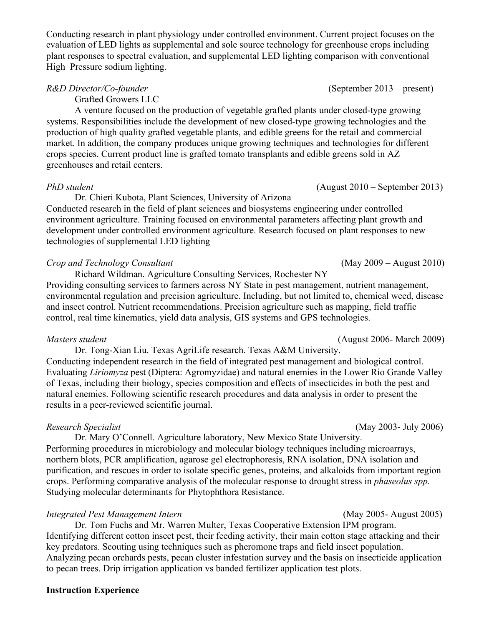Conducting research in plant physiology under controlled environment. Current project focuses on the evaluation of LED lights as supplemental and sole source technology for greenhouse crops including plant responses to spectral evaluation, and supplemental LED lighting comparison with conventional High Pressure sodium lighting.

*R&D Director/Co-founder* (September 2013 – present)

Grafted Growers LLC

A venture focused on the production of vegetable grafted plants under closed-type growing systems. Responsibilities include the development of new closed-type growing technologies and the production of high quality grafted vegetable plants, and edible greens for the retail and commercial market. In addition, the company produces unique growing techniques and technologies for different crops species. Current product line is grafted tomato transplants and edible greens sold in AZ greenhouses and retail centers.

#### *PhD student* (August 2010 – September 2013)

Dr. Chieri Kubota, Plant Sciences, University of Arizona Conducted research in the field of plant sciences and biosystems engineering under controlled environment agriculture. Training focused on environmental parameters affecting plant growth and development under controlled environment agriculture. Research focused on plant responses to new technologies of supplemental LED lighting

#### *Crop and Technology Consultant* (May 2009 – August 2010)

 Richard Wildman. Agriculture Consulting Services, Rochester NY Providing consulting services to farmers across NY State in pest management, nutrient management, environmental regulation and precision agriculture. Including, but not limited to, chemical weed, disease and insect control. Nutrient recommendations. Precision agriculture such as mapping, field traffic control, real time kinematics, yield data analysis, GIS systems and GPS technologies.

#### *Masters student* (August 2006- March 2009)

Dr. Tong-Xian Liu. Texas AgriLife research. Texas A&M University. Conducting independent research in the field of integrated pest management and biological control. Evaluating *Liriomyza* pest (Diptera: Agromyzidae) and natural enemies in the Lower Rio Grande Valley of Texas, including their biology, species composition and effects of insecticides in both the pest and natural enemies. Following scientific research procedures and data analysis in order to present the results in a peer-reviewed scientific journal.

Dr. Mary O'Connell. Agriculture laboratory, New Mexico State University. Performing procedures in microbiology and molecular biology techniques including microarrays, northern blots, PCR amplification, agarose gel electrophoresis, RNA isolation, DNA isolation and purification, and rescues in order to isolate specific genes, proteins, and alkaloids from important region crops. Performing comparative analysis of the molecular response to drought stress in *phaseolus spp.*  Studying molecular determinants for Phytophthora Resistance.

#### *Integrated Pest Management Intern* (May 2005- August 2005)

Dr. Tom Fuchs and Mr. Warren Multer, Texas Cooperative Extension IPM program. Identifying different cotton insect pest, their feeding activity, their main cotton stage attacking and their key predators. Scouting using techniques such as pheromone traps and field insect population. Analyzing pecan orchards pests, pecan cluster infestation survey and the basis on insecticide application to pecan trees. Drip irrigation application vs banded fertilizer application test plots.

#### **Instruction Experience**

*Research Specialist* (May 2003- July 2006)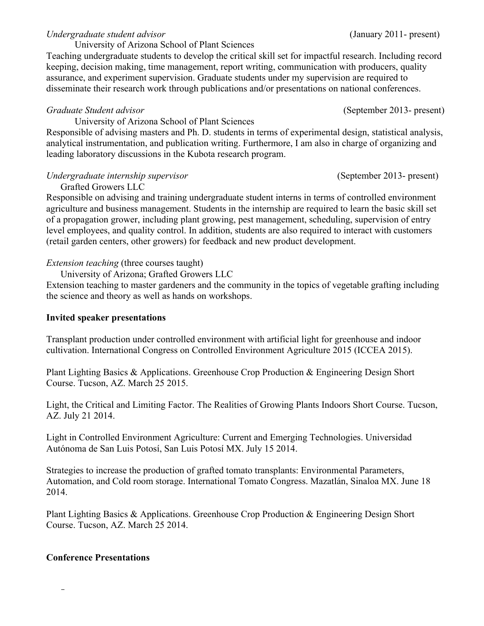## *Undergraduate student advisor* (January 2011- present)

University of Arizona School of Plant Sciences

Teaching undergraduate students to develop the critical skill set for impactful research. Including record keeping, decision making, time management, report writing, communication with producers, quality assurance, and experiment supervision. Graduate students under my supervision are required to disseminate their research work through publications and/or presentations on national conferences.

# *Graduate Student advisor* (September 2013- present)

University of Arizona School of Plant Sciences

Responsible of advising masters and Ph. D. students in terms of experimental design, statistical analysis, analytical instrumentation, and publication writing. Furthermore, I am also in charge of organizing and leading laboratory discussions in the Kubota research program.

# *Undergraduate internship supervisor* (September 2013- present)

Grafted Growers LLC Responsible on advising and training undergraduate student interns in terms of controlled environment agriculture and business management. Students in the internship are required to learn the basic skill set of a propagation grower, including plant growing, pest management, scheduling, supervision of entry level employees, and quality control. In addition, students are also required to interact with customers (retail garden centers, other growers) for feedback and new product development.

# *Extension teaching* (three courses taught)

University of Arizona; Grafted Growers LLC

Extension teaching to master gardeners and the community in the topics of vegetable grafting including the science and theory as well as hands on workshops.

# **Invited speaker presentations**

Transplant production under controlled environment with artificial light for greenhouse and indoor cultivation. International Congress on Controlled Environment Agriculture 2015 (ICCEA 2015).

Plant Lighting Basics & Applications. Greenhouse Crop Production & Engineering Design Short Course. Tucson, AZ. March 25 2015.

Light, the Critical and Limiting Factor. The Realities of Growing Plants Indoors Short Course. Tucson, AZ. July 21 2014.

Light in Controlled Environment Agriculture: Current and Emerging Technologies. Universidad Autónoma de San Luis Potosí, San Luis Potosí MX. July 15 2014.

Strategies to increase the production of grafted tomato transplants: Environmental Parameters, Automation, and Cold room storage. International Tomato Congress. Mazatlán, Sinaloa MX. June 18 2014.

Plant Lighting Basics & Applications. Greenhouse Crop Production & Engineering Design Short Course. Tucson, AZ. March 25 2014.

# **Conference Presentations**

-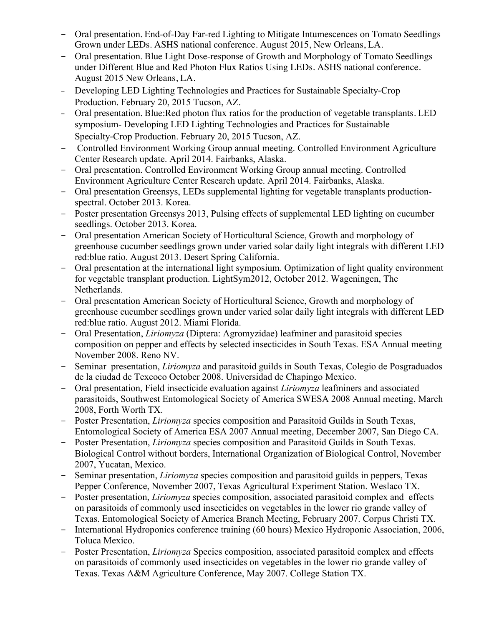- Oral presentation. End-of-Day Far-red Lighting to Mitigate Intumescences on Tomato Seedlings Grown under LEDs. ASHS national conference. August 2015, New Orleans, LA.
- Oral presentation. Blue Light Dose-response of Growth and Morphology of Tomato Seedlings under Different Blue and Red Photon Flux Ratios Using LEDs. ASHS national conference. August 2015 New Orleans, LA.
- Developing LED Lighting Technologies and Practices for Sustainable Specialty-Crop Production. February 20, 2015 Tucson, AZ.
- Oral presentation. Blue:Red photon flux ratios for the production of vegetable transplants. LED symposium- Developing LED Lighting Technologies and Practices for Sustainable Specialty-Crop Production. February 20, 2015 Tucson, AZ.
- Controlled Environment Working Group annual meeting. Controlled Environment Agriculture Center Research update. April 2014. Fairbanks, Alaska.
- Oral presentation. Controlled Environment Working Group annual meeting. Controlled Environment Agriculture Center Research update. April 2014. Fairbanks, Alaska.
- Oral presentation Greensys, LEDs supplemental lighting for vegetable transplants productionspectral. October 2013. Korea.
- Poster presentation Greensys 2013, Pulsing effects of supplemental LED lighting on cucumber seedlings. October 2013. Korea.
- Oral presentation American Society of Horticultural Science, Growth and morphology of greenhouse cucumber seedlings grown under varied solar daily light integrals with different LED red:blue ratio. August 2013. Desert Spring California.
- Oral presentation at the international light symposium. Optimization of light quality environment for vegetable transplant production. LightSym2012, October 2012. Wageningen, The Netherlands.
- Oral presentation American Society of Horticultural Science, Growth and morphology of greenhouse cucumber seedlings grown under varied solar daily light integrals with different LED red:blue ratio. August 2012. Miami Florida.
- Oral Presentation, *Liriomyza* (Diptera: Agromyzidae) leafminer and parasitoid species composition on pepper and effects by selected insecticides in South Texas. ESA Annual meeting November 2008. Reno NV.
- Seminar presentation, *Liriomyza* and parasitoid guilds in South Texas, Colegio de Posgraduados de la ciudad de Texcoco October 2008. Universidad de Chapingo Mexico.
- Oral presentation, Field insecticide evaluation against *Liriomyza* leafminers and associated parasitoids, Southwest Entomological Society of America SWESA 2008 Annual meeting, March 2008, Forth Worth TX.
- Poster Presentation, *Liriomyza* species composition and Parasitoid Guilds in South Texas, Entomological Society of America ESA 2007 Annual meeting, December 2007, San Diego CA.
- Poster Presentation, *Liriomyza* species composition and Parasitoid Guilds in South Texas. Biological Control without borders, International Organization of Biological Control, November 2007, Yucatan, Mexico.
- Seminar presentation, *Liriomyza* species composition and parasitoid guilds in peppers, Texas Pepper Conference, November 2007, Texas Agricultural Experiment Station. Weslaco TX.
- Poster presentation, *Liriomyza* species composition, associated parasitoid complex and effects on parasitoids of commonly used insecticides on vegetables in the lower rio grande valley of Texas. Entomological Society of America Branch Meeting, February 2007. Corpus Christi TX.
- International Hydroponics conference training (60 hours) Mexico Hydroponic Association, 2006, Toluca Mexico.
- Poster Presentation, *Liriomyza* Species composition, associated parasitoid complex and effects on parasitoids of commonly used insecticides on vegetables in the lower rio grande valley of Texas. Texas A&M Agriculture Conference, May 2007. College Station TX.